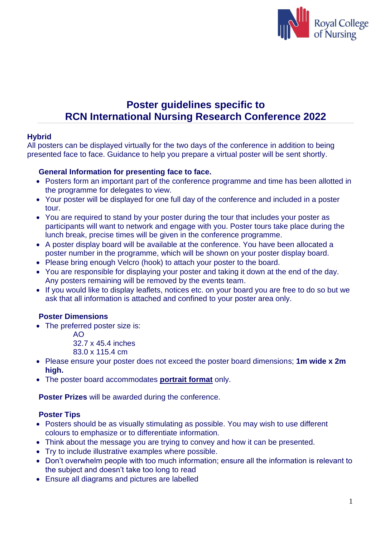

# **Poster guidelines specific to RCN International Nursing Research Conference 2022**

## **Hybrid**

All posters can be displayed virtually for the two days of the conference in addition to being presented face to face. Guidance to help you prepare a virtual poster will be sent shortly.

## **General Information for presenting face to face.**

- Posters form an important part of the conference programme and time has been allotted in the programme for delegates to view.
- Your poster will be displayed for one full day of the conference and included in a poster tour.
- You are required to stand by your poster during the tour that includes your poster as participants will want to network and engage with you. Poster tours take place during the lunch break, precise times will be given in the conference programme.
- A poster display board will be available at the conference. You have been allocated a poster number in the programme, which will be shown on your poster display board.
- Please bring enough Velcro (hook) to attach your poster to the board.
- You are responsible for displaying your poster and taking it down at the end of the day. Any posters remaining will be removed by the events team.
- If you would like to display leaflets, notices etc. on your board you are free to do so but we ask that all information is attached and confined to your poster area only.

# **Poster Dimensions**

- The preferred poster size is:
	- AO

32.7 x 45.4 inches

- 83.0 x 115.4 cm
- Please ensure your poster does not exceed the poster board dimensions; **1m wide x 2m high.**
- The poster board accommodates **portrait format** only.

**Poster Prizes** will be awarded during the conference.

#### **Poster Tips**

- Posters should be as visually stimulating as possible. You may wish to use different colours to emphasize or to differentiate information.
- Think about the message you are trying to convey and how it can be presented.
- Try to include illustrative examples where possible.
- Don't overwhelm people with too much information; ensure all the information is relevant to the subject and doesn't take too long to read
- Ensure all diagrams and pictures are labelled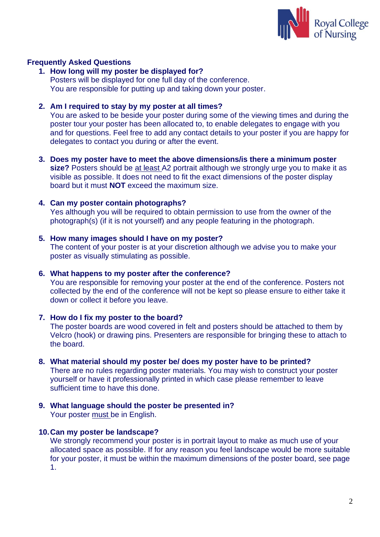

#### **Frequently Asked Questions**

**1. How long will my poster be displayed for?** Posters will be displayed for one full day of the conference. You are responsible for putting up and taking down your poster.

#### **2. Am I required to stay by my poster at all times?**

You are asked to be beside your poster during some of the viewing times and during the poster tour your poster has been allocated to, to enable delegates to engage with you and for questions. Feel free to add any contact details to your poster if you are happy for delegates to contact you during or after the event.

**3. Does my poster have to meet the above dimensions/is there a minimum poster size?** Posters should be at least A2 portrait although we strongly urge you to make it as visible as possible. It does not need to fit the exact dimensions of the poster display board but it must **NOT** exceed the maximum size.

#### **4. Can my poster contain photographs?**

Yes although you will be required to obtain permission to use from the owner of the photograph(s) (if it is not yourself) and any people featuring in the photograph.

#### **5. How many images should I have on my poster?**

The content of your poster is at your discretion although we advise you to make your poster as visually stimulating as possible.

#### **6. What happens to my poster after the conference?**

You are responsible for removing your poster at the end of the conference. Posters not collected by the end of the conference will not be kept so please ensure to either take it down or collect it before you leave.

#### **7. How do I fix my poster to the board?**

The poster boards are wood covered in felt and posters should be attached to them by Velcro (hook) or drawing pins. Presenters are responsible for bringing these to attach to the board.

#### **8. What material should my poster be/ does my poster have to be printed?**

There are no rules regarding poster materials. You may wish to construct your poster yourself or have it professionally printed in which case please remember to leave sufficient time to have this done.

**9. What language should the poster be presented in?** Your poster must be in English.

# **10.Can my poster be landscape?**

We strongly recommend your poster is in portrait layout to make as much use of your allocated space as possible. If for any reason you feel landscape would be more suitable for your poster, it must be within the maximum dimensions of the poster board, see page 1.